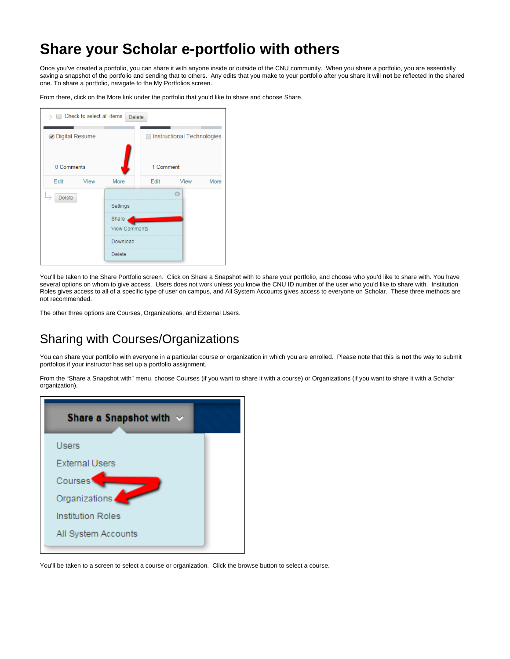## **Share your Scholar e-portfolio with others**

Once you've created a portfolio, you can share it with anyone inside or outside of the CNU community. When you share a portfolio, you are essentially saving a snapshot of the portfolio and sending that to others. Any edits that you make to your portfolio after you share it will **not** be reflected in the shared one. To share a portfolio, navigate to the My Portfolios screen.

From there, click on the More link under the portfolio that you'd like to share and choose Share.

| Check to select all items<br>. ) | <b>Delete</b>        |           |                            |      |
|----------------------------------|----------------------|-----------|----------------------------|------|
| <b>Digital Resume</b>            |                      |           | Instructional Technologies |      |
| 0 Comments                       |                      | 1 Comment |                            |      |
| Edit<br>View                     | More                 | Edit      | View                       | More |
| <b>Delete</b><br>$\cdots$        |                      |           | $\Omega$                   |      |
|                                  | Settings             |           |                            |      |
|                                  | Share                |           |                            |      |
|                                  | <b>View Comments</b> |           |                            |      |
|                                  | Download             |           |                            |      |
|                                  | Delete               |           |                            |      |

You'll be taken to the Share Portfolio screen. Click on Share a Snapshot with to share your portfolio, and choose who you'd like to share with. You have several options on whom to give access. Users does not work unless you know the CNU ID number of the user who you'd like to share with. Institution Roles gives access to all of a specific type of user on campus, and All System Accounts gives access to everyone on Scholar. These three methods are not recommended.

The other three options are Courses, Organizations, and External Users.

## Sharing with Courses/Organizations

You can share your portfolio with everyone in a particular course or organization in which you are enrolled. Please note that this is **not** the way to submit portfolios if your instructor has set up a portfolio assignment.

From the "Share a Snapshot with" menu, choose Courses (if you want to share it with a course) or Organizations (if you want to share it with a Scholar organization).

| Share a Snapshot with $\sim$ |  |  |
|------------------------------|--|--|
| <b>Users</b>                 |  |  |
| <b>External Users</b>        |  |  |
| Courses                      |  |  |
| Organizations                |  |  |
| <b>Institution Roles</b>     |  |  |
| All System Accounts          |  |  |

You'll be taken to a screen to select a course or organization. Click the browse button to select a course.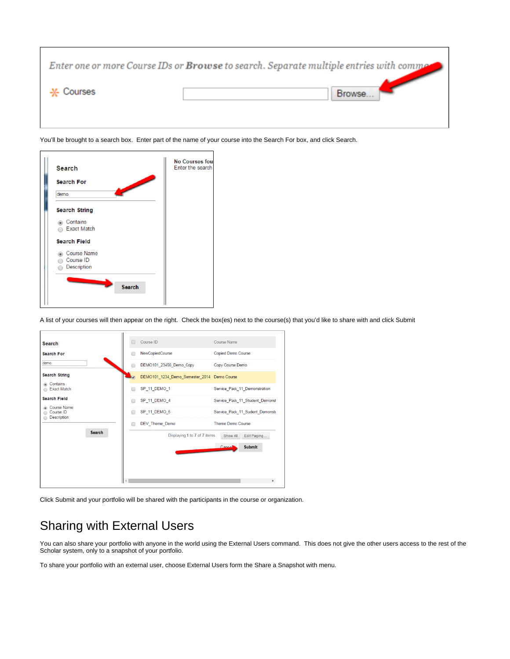|             | Enter one or more Course IDs or Browse to search. Separate multiple entries with commed |
|-------------|-----------------------------------------------------------------------------------------|
| -X- Courses | Browse.                                                                                 |
|             |                                                                                         |

You'll be brought to a search box. Enter part of the name of your course into the Search For box, and click Search.



A list of your courses will then appear on the right. Check the box(es) next to the course(s) that you'd like to share with and click Submit



Click Submit and your portfolio will be shared with the participants in the course or organization.

## Sharing with External Users

You can also share your portfolio with anyone in the world using the External Users command. This does not give the other users access to the rest of the Scholar system, only to a snapshot of your portfolio.

To share your portfolio with an external user, choose External Users form the Share a Snapshot with menu.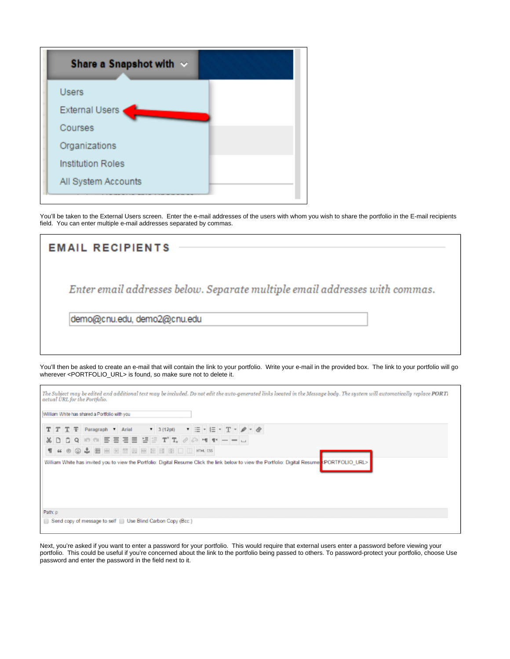| Share a Snapshot with $\sim$ |
|------------------------------|
| <b>Users</b>                 |
| <b>External Users</b>        |
| Courses                      |
| Organizations                |
| <b>Institution Roles</b>     |
| All System Accounts          |

 $\mathsf{r}$ 

You'll be taken to the External Users screen. Enter the e-mail addresses of the users with whom you wish to share the portfolio in the E-mail recipients field. You can enter multiple e-mail addresses separated by commas.

| <b>EMAIL RECIPIENTS</b>                                                     |  |
|-----------------------------------------------------------------------------|--|
| Enter email addresses below. Separate multiple email addresses with commas. |  |
| demo@cnu.edu, demo2@cnu.edu                                                 |  |
|                                                                             |  |

You'll then be asked to create an e-mail that will contain the link to your portfolio. Write your e-mail in the provided box. The link to your portfolio will go wherever <PORTFOLIO\_URL> is found, so make sure not to delete it.

h.

| actual URL for the Portfolio.<br>William White has shared a Portfolio with you |                                                              |  |  |  |  |  |  |  |  |  |                                                                                                                                                                                                                                                                                                                                                                                                              |  | The Subject may be edited and additional text may be included. Do not edit the auto-generated links located in the Message body. The system will automatically replace PORTi |  |  |  |  |  |  |  |  |  |
|--------------------------------------------------------------------------------|--------------------------------------------------------------|--|--|--|--|--|--|--|--|--|--------------------------------------------------------------------------------------------------------------------------------------------------------------------------------------------------------------------------------------------------------------------------------------------------------------------------------------------------------------------------------------------------------------|--|------------------------------------------------------------------------------------------------------------------------------------------------------------------------------|--|--|--|--|--|--|--|--|--|
|                                                                                | $T$ T $T$ Paragraph v Arial v 3 (12pt)                       |  |  |  |  |  |  |  |  |  | $\mathbf{v} \equiv \mathbf{v} \equiv \mathbf{v} \mathbf{T} \cdot \boldsymbol{\rho} \cdot \boldsymbol{\phi}$                                                                                                                                                                                                                                                                                                  |  |                                                                                                                                                                              |  |  |  |  |  |  |  |  |  |
|                                                                                |                                                              |  |  |  |  |  |  |  |  |  | $\texttt{X} \hspace{0.2em}\texttt{D} \hspace{0.2em}\texttt{C} \hspace{0.2em}\texttt{C} \hspace{0.2em}\texttt{C} \hspace{0.2em}\texttt{C} \hspace{0.2em}\texttt{D} \hspace{0.2em}\texttt{C} \hspace{0.2em}\texttt{C} \hspace{0.2em}\texttt{D} \hspace{0.2em}\texttt{D} \hspace{0.2em}\texttt{C} \hspace{0.2em}\texttt{D} \hspace{0.2em}\texttt{C} \hspace{0.2em}\texttt{D} \hspace{0.2em}\texttt{D} \hspace{$ |  |                                                                                                                                                                              |  |  |  |  |  |  |  |  |  |
|                                                                                | T 4 0 3 & B B B B B B B B D D MM CS                          |  |  |  |  |  |  |  |  |  |                                                                                                                                                                                                                                                                                                                                                                                                              |  |                                                                                                                                                                              |  |  |  |  |  |  |  |  |  |
|                                                                                |                                                              |  |  |  |  |  |  |  |  |  |                                                                                                                                                                                                                                                                                                                                                                                                              |  | William White has invited you to view the Portfolio: Digital Resume Click the link below to view the Portfolio: Digital Resume & PORTFOLIO URL>                              |  |  |  |  |  |  |  |  |  |
| Path: p                                                                        |                                                              |  |  |  |  |  |  |  |  |  |                                                                                                                                                                                                                                                                                                                                                                                                              |  |                                                                                                                                                                              |  |  |  |  |  |  |  |  |  |
|                                                                                | Send copy of message to self ID Use Blind Carbon Copy (Bcc:) |  |  |  |  |  |  |  |  |  |                                                                                                                                                                                                                                                                                                                                                                                                              |  |                                                                                                                                                                              |  |  |  |  |  |  |  |  |  |

Next, you're asked if you want to enter a password for your portfolio. This would require that external users enter a password before viewing your portfolio. This could be useful if you're concerned about the link to the portfolio being passed to others. To password-protect your portfolio, choose Use password and enter the password in the field next to it.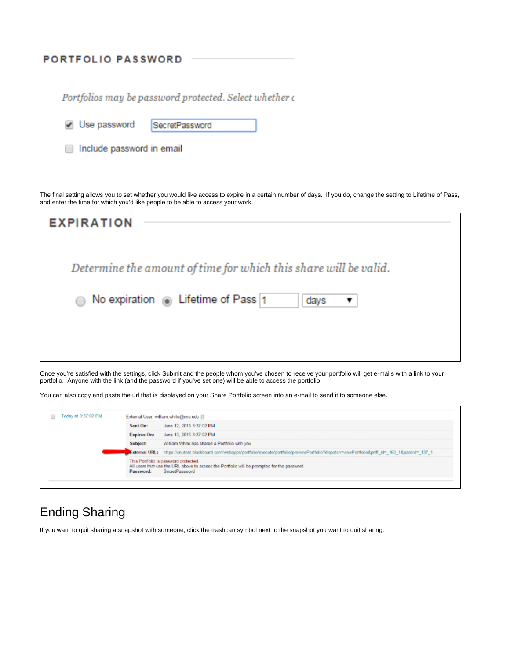| <b>PORTFOLIO PASSWORD</b> |                                                        |
|---------------------------|--------------------------------------------------------|
|                           | Portfolios may be password protected. Select whether o |
| Use password              | SecretPassword                                         |
| Include password in email |                                                        |
|                           |                                                        |

The final setting allows you to set whether you would like access to expire in a certain number of days. If you do, change the setting to Lifetime of Pass, and enter the time for which you'd like people to be able to access your work.

| <b>EXPIRATION</b>                                                     |
|-----------------------------------------------------------------------|
| Determine the amount of time for which this share will be valid.      |
| No expiration $\circ$ Lifetime of Pass 1<br>days<br>○<br>$\mathbf{v}$ |
|                                                                       |
|                                                                       |

Once you're satisfied with the settings, click Submit and the people whom you've chosen to receive your portfolio will get e-mails with a link to your portfolio. Anyone with the link (and the password if you've set one) will be able to access the portfolio.

You can also copy and paste the url that is displayed on your Share Portfolio screen into an e-mail to send it to someone else.

| Today at 3:37:02 PM |                    | External User: william.white@cnu.edu @                                                                                                                 |
|---------------------|--------------------|--------------------------------------------------------------------------------------------------------------------------------------------------------|
|                     | Sent On:           | June 12, 2015 3:37:02 PM                                                                                                                               |
|                     | <b>Expires On:</b> | June 13, 2015 3:37:02 PM                                                                                                                               |
|                     | Subject:           | William White has shared a Portfolio with you                                                                                                          |
|                     |                    | External URL: https://cnutest.blackboard.com/webapps/portfolio/execute/portfolio/previewPortfolio?dispatch=viewPortfolio&prtfi_id= 163_1&passId= 137_1 |
|                     | Password:          | This Portfolio is password protected.<br>All users that use the URL above to access the Portfolio will be prompted for the password.<br>SecretPassword |

## Ending Sharing

If you want to quit sharing a snapshot with someone, click the trashcan symbol next to the snapshot you want to quit sharing.